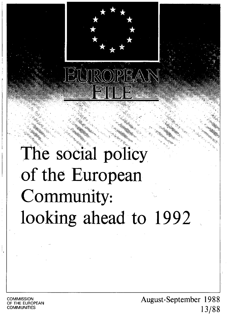

# The social policy **of the European Community: looking ahead to 1992**

**COMMISSION** OF THE EUROPEAN **COMMUNITIES** 

August-September 19 8 8 13/88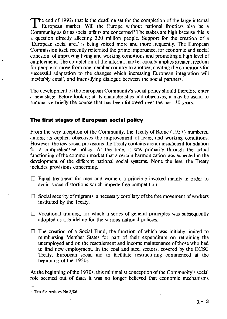The end of 1992: that is the deadline set for the completion of the large internal *l.* European market. Will the Europe without national frontiers also be a Community as far as social affairs are concerned? The stakes are high because this is a question directly affecting 320 million people. Support for the creation of a 'European social area' is being voiced more and more frequently. The European Commission itself recently reiterated the prime importance, for economic and social cohesion, of improving living and working conditions and promoting a high level of employment. The completion of the internal market equally implies greater freedom for people to move from one member country to another, creating the conditions for successful adaptation to the changes which increasing European integration will inevitably entail, and intensifying dialogue between the social partners.<sup>1</sup>

The development of the European Community's social policy should therefore enter a new stage. Before looking at its characteristics and objectives, it may be useful to summarize briefly the course that has been followed over the past 30 years.

## **The first stages of European social policy**

From the very inception of the Community, the Treaty of Rome (1957) numbered among its explicit objectives the improvement of living and working conditions. However, the few social provisions the Treaty contains are an insufficient foundation for a comprehensive policy. At the time, it was primarily through the actual functioning of the common market that a certain harmonization was expected in the development of the different national social systems. None the less, the Treaty includes provisions concerning:

- $\Box$  Equal treatment for men and women, a principle invoked mainly in order to avoid social distortions which impede free competition.
- $\Box$  Social security of migrants, a necessary corollary of the free movement of workers instituted by the Treaty.
- $\Box$  Vocational training, for which a series of general principles was subsequently adopted as a guideline for the various national policies.
- $\Box$  The creation of a Social Fund, the function of which was initially limited to reimbursing Member States for part of their expenditure on retraining the unemployed and on the resettlement and income maintenance of those who had to find new employment. In the coal and steel sectors, covered by the ECSC Treaty, European social aid to facilitate restructuring commenced at the beginning of the 1950s.

At the beginning of the 1970s, this minimalist conception of the Community's social role seemed out of date; it was no longer believed that economic mechanisms

<sup>&</sup>lt;sup>1</sup> This file replaces No 8/86.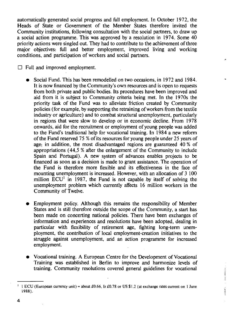automatically generated social progress and full employment. In October 1972, the Heads of State or Government of the Member States therefore invited the Community institutions, following consultation with the social partners, to draw up a social action programme. This was approved by a resolution in 1974. Some 40 priority actions were singled out. They had to contribute to the achievement of three major objectives: full and better employment, improved living and working conditions, and participation of workers and social partners.

 $\Box$  Full and improved employment.

- Social Fund. This has been remodelled on two occasions, in 1972 and 1984. It is now financed by the Community's own resources and is open to requests from both private and public bodies. Its procedures have been improved and aid from it is subject to Community criteria being met. In the 1970s the priority task of the Fund was to alleviate friction created by Community policies (for example, by supporting the retraining of workers from the textile industry or agriculture) and to combat structural unemployment, particularly in regions that were slow to develop or in economic decline. From 1978 onwards, aid for the recruitment or employment of young people was added to the Fund's traditional help for vocational training. In 1984 a new reform of the Fund reserved 75 % of its resources for young people under 25 years of age; in addition, the most disadvantaged regions are guaranteed 40 % of appropriations ( 44,5 % after the enlargement of the Community to include Spain and Portugal). A new system of advances enables projects to be financed as soon as a decision is made to grant assistance. The operation of the Fund is therefore more flexible and its effectiveness in the face of mounting unemployment is increased. However, with an allocation of 3 100 million  $ECU<sup>1</sup>$  in 1987, the Fund is not capable by itself of solving the unemployment problem which currently affects 16 million workers in the Community of Twelve.
- Employment policy. Although this remains the responsibility of Member States and is still therefore outside the scope of the Community, a start has been made on concerting national policies. There have been exchanges of information and experiences and resolutions have been adopted, dealing in particular with flexibility of retirement age, fighting long-term unemployment, the contribution of local employment-creation iriitiatives to the struggle against unemployment, arid an action programme for increased employment.
- Vocational training. A European Centre for the Development of Vocational Training was established in Berlin to improve and harmonize levels of training. Community resolutions covered general guidelines for vocational

<sup>&</sup>lt;sup>1</sup> I ECU (European currency unit) = about £0.66, Ir £0.78 or US \$1.2 (at exchange rates current on 1 June 1988).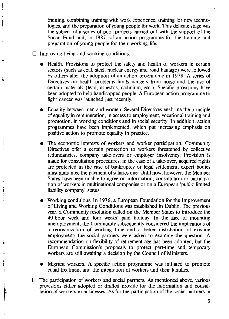training, combining training with work experience, training for new technologies, and the preparation of young people for work. This delicate stage was the subject of a series of pilot projects carried out with the support of the Social Fund and, in 1987, of an action programme for the training and preparation of young people for their working life.

- $\Box$  Improving living and working conditions.
	- Health. Provisions to protect the safety and health of workers in certain sectors (such as coal, steel, nuclear energy and road haulage) were followed by others after the adoption of an action programme in 1978. A series of Directives on health problems limits dangers from noise and the use of certain materials (lead, asbestos, cadmium, etc.). Specific provisions have been adopted to help handicapped people. A European action programme to fight cancer was launched just recently.
	- Equality between men and women. Several Directives enshrine the principle of equality in remuneration, in access to employment, vocational training and promotion, in working conditions and in social security. In addition, action programmes have been implemented, which put increasing emphasis on positive action to promote equality in practice.
	- The economic interests of workers and worker participation. Community Directives offer a certain protection to workers threatened by collective redundancies, company take-overs or employer insolvency. Provision is made for consultation procedures; in the case of a take-over, acquired rights are protected in the case of bankruptcy or legal settlement, expert bodies must guarantee the payment of salaries due. Until now, however, the Member States have been unable to agree on information, consultation or participation of workers in multinational companies or on a European 'public limited liability company' status.
	- Working conditions. In 1976, a European Foundation for the Improvement of Living and Working Conditions was established in Dublin. The previous year, a Community resolution called on the Member States to introduce the 40-hour week and four weeks' paid holiday. In the face of mounting unemployment, the Community subsequently considered the implications of a reorganization of working time and a better distribution of existing employment; the social partners were asked to examine the question. A recommendation on flexibility of retirement age has been adopted, but the European Commission's proposals to protect part-time and temporary workers are still awaiting a decision by the Council of Ministers.
	- Migrant workers. A specific action programme was initiated to promote equal treatment and the integration of workers and their families.
- $\overline{a}$  $\Box$  The participation of workers and social partners. As mentioned above, various provisions either adopted or drafted provide for the information and consultation of workers in businesses. As for the participation of the social partners in

~·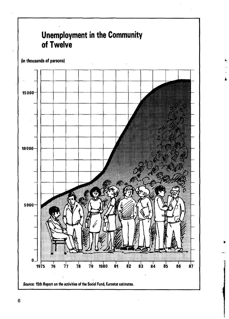

•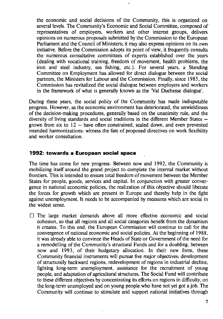the economic and social decisions of the Community, this is organized on several levels. The Community's Economic and Social Committee, composed of representatives of employers, workers and other interest groups, delivers opinions on numerous proposals submitted by the Commission to the European Parliament and the Council of Ministers; it may also express opinions on its own initiative. Before the Commission adopts its point of view, it frequently consults the numerous consultative committees of experts established over the years (dealing with vocational training, freedom of movement, health problems, the iron and steel industry, sea fishing, etc.). For several years, a Standing Committee on Employment has allowed for direct dialogue between the social partners, the Ministers for Labour and the Commission. Finally, since 1985, the Commission has revitalized the social dialogue between employers and workers in the framework of what is generally known as the 'Val Duchesse dialogue'.

During these years, the social policy of the Community has made indisputable progress. However, as the economic environment has deteriorated, the unwieldiness of the decision-making procedures, generally based on the unanimity rule, and the diversity of living standards and social traditions in the different Member States  $$ grown from six to  $12$  - have often constrained, scaled down, and even prevented intended harmonizations: witness the fate of proposed directives on work flexibility and worker consultation.

## **1992: towards a European social space**

The time has come for new progress. Between now and 1992, the Community is mobilizing itself around the grand project to complete the internal market without frontiers. This is intended to ensure total freedom of movement between the Member States for people, goods, services and capital. In conjunction with greater convergence in national economic policies, the realization of this objective should liberate the forces for growth which are present in Europe and thereby help in the fight against unemployment. It needs to be accompanied by measures which are social in the widest sense.

 $\Box$  The large market demands above all more effective economic and social cohesion, so that all regions and all social categories benefit from the dynamism it creates. To this end, the European Commission will continue to call for the convergence of national economic and social policies. At the beginning of 1988, itwas already able to convince the Heads of State or Government of the need for a remodelling of the Community's structural Funds and for a doubling, between now and 1993, of their budgetary allocation. In their new form, these Community financial instruments will pursue five major objectives: development of structurally backward regions, redevelopment of regions in industrial decline, fighting long-term unemployment, assistance for the recruitment of young people, and adaptation of agricultural structures. The Social Fund will contribute to these different objectives by concentrating its efforts on regions in difficulty, on the long-term unemployed and on young people who have not yet got a job. The Community will continue to stimulate and support national initiatives through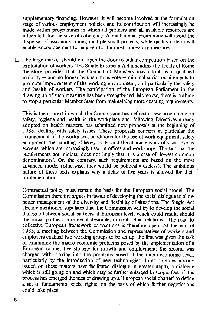supplementary financing. However, it will become involved at the formulation stage of various employment policies and its contribution will increasingly be made within programmes in which all partners and all available resources are integrated, for the sake of coherence. A multiannual programme will avoid the dispersal of assistance among multiple small projects, while quality criteria will enable encouragement to be given to the most innovatory measures.

 $\Box$  The large market should not open the door to unfair competition based on the exploitation of workers. The Single European Act amending the Treaty of Rome therefore provides that the Council of Ministers may adopt by a qualified majority  $-$  and no longer by unanimous vote  $-$  minimal social requirements to promote improvement of the working environment, and particularly the safety and health of workers. The participation of the European Parliament in the drawing up of such measures has been strengthened. Moreover, there is nothing to stop a particular Member State from maintaining more exacting requirements.

This is the context in which the Commission has defined a new programme on safety, hygiene and health in the workplace and, following Directives already adopted on health matters, has submitted new proposals at the beginning of 1988, dealing with safety issues. These proposals concern in particular the arrangement of the workplace, conditions for the use of work equipment, safety equipment, the handling of heavy loads, and the characteristics of visual dsplay screens, which are increasingly used in offices and workshops. The fact that the requirements are minimal does not imply that it is a case of 'lowest common denominators'. On the contrary, such requirements are based on the most advanced model (otherwise, they would be politically useless). The ambitious nature of these texts explains why a delay of five years is allowed for their implementation.

 $\Box$  Contractual policy must remain the basis for the European social model. The Commission therefore argues in favour of developing the social dialogue to allow better management of the diversity and flexibility of situations. The Single Act already mentioned stipulates that 'the Commission will try to develop the social dialogue between social partners at European level, which could result, should the social partners consider it desirable, in contractual relations'. The road to collective European framework conventions is therefore open. At the end of 1985, a meeting between the Commission and representatives of workers and employers enabled two working groups to be set up: the first was given the task of examining the macro-economic problems posed by the implementation of a European cooperative strategy for growth and employment, the second was charged with looking into the problems posed at the micro-economic level, particularly by the introduction of new technologies. Joint opinions already issued on these matters have facilitated dialogue in greater depth, a dialogue which is still going on and which may be further enlarged in scope. Out of this process has emerged the idea of drawing up a 'European social charter' to define a set of fundamental social rights, on the basis of which further negotiations could take place.

8

 $\sim$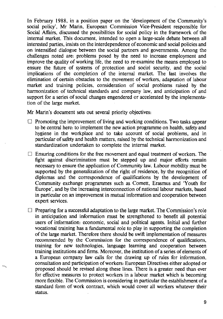In February 1988, in a position paper on the 'development of the Community's social policy', Mr Marin, European Commission Vice-President responsible for Social Affairs, discussed the possibilities for social policy in the framework of the internal market. This document, intended to open a large-scale debate between all interested parties, insists on the interdependence of economic and social policies and on intensified dialogue between the social partners and governments. Among the challenges noted are: problems posed by the need to increase employment and improve the quality of working life, the need to re-examine the means employed to ensure the future of systems of protection and social security, and the social implications of the completion of the internal market. The last involves the elimination of certain obstacles to the rpovement of workers, adaptation of labour market and training policies, consideration of social problems raised by the harmonization of technical standards and company law, and anticipation of and support for a series of social changes engendered or accelerated by the implementation of the large market.

Mr Marin's document sets out several priority objectives:

- $\Box$  Promoting the improvement of living and working conditions. Two tasks appear to be central here: to implement the new action programme on health, safety and hygiene in the workplace and to take account of social problems, and in particular of safety and health matters, raised by the technical harmonization and standardization undertaken to complete the internal market.
- $\Box$  Ensuring conditions for the free movement and equal treatment of workers. The fight against discrimination must be stepped up and major efforts remain necessary to ensure the application of Community law. Labour mobility must be supported by the generalization of the right of residence, by the recognition of diplomas and the correspondence of qualifications by the development of Community exchange programmes such as Cornett, Erasmus and 'Youth for Europe', and by the increasing interconnection of national labour markets, based in particular on an improvement in mutual information and cooperation between expert services.

 $\Box$  Preparing for a successful adaptation to the large market. The Commission's role in anticipation and information must be strengthened to benefit all potential users of information: economic, social and political agents. Initial and further vocational training has a fundamental role to play in supporting the completion of the large market. Therefore there should be swift implementation of measures recommended by the Commission for the correspondence of qualifications, training for new technologies, language learning and cooperation between training institutions and firms. Moreover, the institution of a series of elements of a European company law calls for the drawing up of rules for information, consultation and·participation ofworkers: European Directives either adopted or proposed should be revised along these lines. There is a greater need than ever for effective measures to protect workers in a labour market which is becoming more flexible. The Commission is considering in particular the establishment of a standard form of work contract, which would cover all workers whatever their status.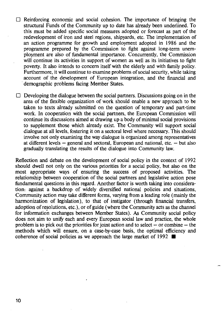- $\Box$  Reinforcing economic and social cohesion. The importance of bringing the structural Funds of the Community up to date has already been underlined. To this must be added specific social measures adopted or forecast as part of the redevelopment of iron and steel regions, shipyards, etc. The implementation of an action programme for growth and employment adopted in 1986 and the programme prepared by the Commission to fight against long-term unemployment are also of fundamental importance. Concurrently, the Commission will continue its activities in support of women as well as its initiatives to fight poverty. It also intends to concern itself with the elderly and with family policy. Furthermore, it will continue to examine problems of social security, while taking account of the development of European integration, and the fmancial and demographic problems facing Member States.
- $\Box$  Developing the dialogue between the social partners. Discussions going on in the area of the flexible organization of work should enable a new approach to be taken to texts already submitted on the question of temporary and part-time work. In cooperation with the social partners, the European Commission will continue its discussions aimed at drawing up a body of minimal social provisions to supplement those which already exist. The Community will support social dialogue at all levels, fostering it on a sectoral level where necessary. This should involve not only examining the way dialogue is organized among representatives at different levels  $-$  general and sectoral, European and national, etc.  $-$  but also gradually translating the results of the dialogue into Community law.

Reflection and debate on the development of social policy in the context of 1992 should dwell not only on the various priorities for a social policy, but also on the most appropriate ways of ensuring the success of proposed activities. The relationship between cooperation of the social partners and legislative action pose fundamental questions in this regard. Another factor is worth taking into consideration: against a backdrop of widely diversified national policies and situations, Community action may take different forms, varying from a leading role (mainly the harmonization of legislation), to that of instigator (through financial transfers, adoption of resolutions, etc.), or of guide (where the Community acts as the charmel for information exchanges between Member States). As Community social policy does not aim to unify each and every European social law and practice, the whole problem is to pick out the priorities for joint action and to select  $-$  or combine  $-$  the methods which will ensure, on a case-by-case basis, the optimal efficiency and coherence of social policies as we approach the large market of 1992  $\blacksquare$